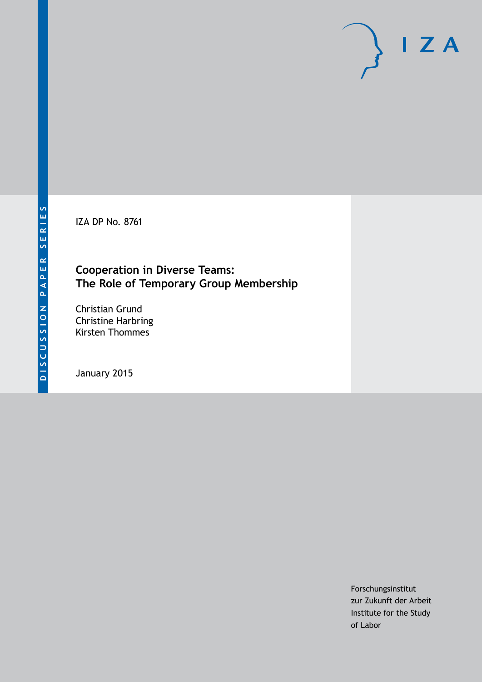IZA DP No. 8761

# **Cooperation in Diverse Teams: The Role of Temporary Group Membership**

Christian Grund Christine Harbring Kirsten Thommes

January 2015

Forschungsinstitut zur Zukunft der Arbeit Institute for the Study of Labor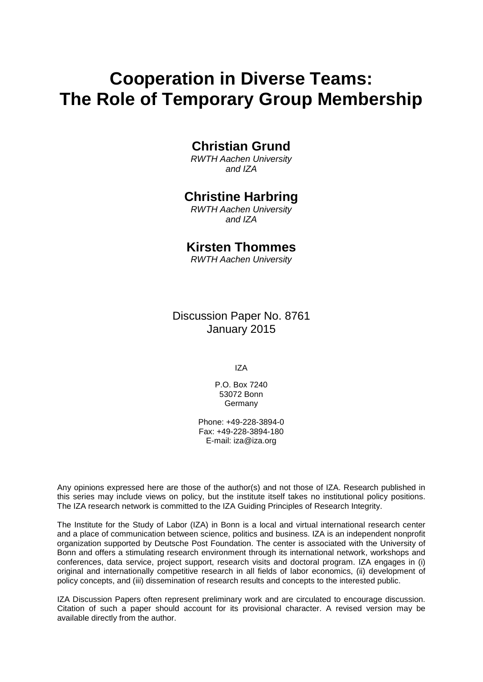# **Cooperation in Diverse Teams: The Role of Temporary Group Membership**

# **Christian Grund**

*RWTH Aachen University and IZA*

# **Christine Harbring**

*RWTH Aachen University and IZA*

# **Kirsten Thommes**

*RWTH Aachen University*

Discussion Paper No. 8761 January 2015

IZA

P.O. Box 7240 53072 Bonn **Germany** 

Phone: +49-228-3894-0 Fax: +49-228-3894-180 E-mail: [iza@iza.org](mailto:iza@iza.org)

Any opinions expressed here are those of the author(s) and not those of IZA. Research published in this series may include views on policy, but the institute itself takes no institutional policy positions. The IZA research network is committed to the IZA Guiding Principles of Research Integrity.

The Institute for the Study of Labor (IZA) in Bonn is a local and virtual international research center and a place of communication between science, politics and business. IZA is an independent nonprofit organization supported by Deutsche Post Foundation. The center is associated with the University of Bonn and offers a stimulating research environment through its international network, workshops and conferences, data service, project support, research visits and doctoral program. IZA engages in (i) original and internationally competitive research in all fields of labor economics, (ii) development of policy concepts, and (iii) dissemination of research results and concepts to the interested public.

IZA Discussion Papers often represent preliminary work and are circulated to encourage discussion. Citation of such a paper should account for its provisional character. A revised version may be available directly from the author.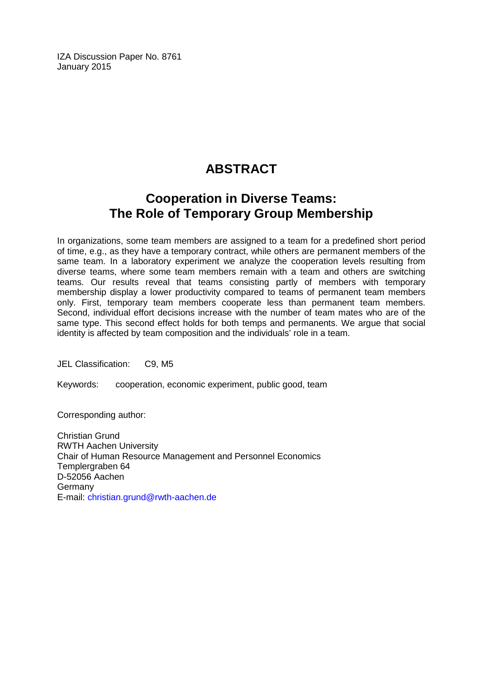IZA Discussion Paper No. 8761 January 2015

# **ABSTRACT**

# **Cooperation in Diverse Teams: The Role of Temporary Group Membership**

In organizations, some team members are assigned to a team for a predefined short period of time, e.g., as they have a temporary contract, while others are permanent members of the same team. In a laboratory experiment we analyze the cooperation levels resulting from diverse teams, where some team members remain with a team and others are switching teams. Our results reveal that teams consisting partly of members with temporary membership display a lower productivity compared to teams of permanent team members only. First, temporary team members cooperate less than permanent team members. Second, individual effort decisions increase with the number of team mates who are of the same type. This second effect holds for both temps and permanents. We argue that social identity is affected by team composition and the individuals' role in a team.

JEL Classification: C9, M5

Keywords: cooperation, economic experiment, public good, team

Corresponding author:

Christian Grund RWTH Aachen University Chair of Human Resource Management and Personnel Economics Templergraben 64 D-52056 Aachen Germany E-mail: [christian.grund@rwth-aachen.de](mailto:christian.grund@rwth-aachen.de)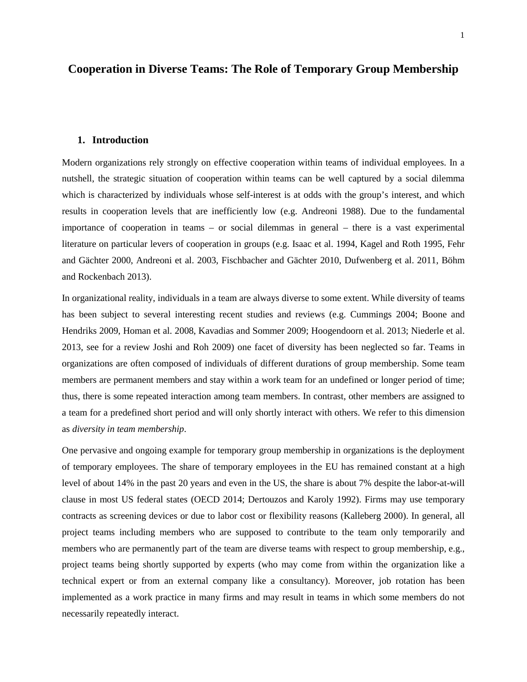# **Cooperation in Diverse Teams: The Role of Temporary Group Membership**

### **1. Introduction**

Modern organizations rely strongly on effective cooperation within teams of individual employees. In a nutshell, the strategic situation of cooperation within teams can be well captured by a social dilemma which is characterized by individuals whose self-interest is at odds with the group's interest, and which results in cooperation levels that are inefficiently low (e.g. Andreoni 1988). Due to the fundamental importance of cooperation in teams – or social dilemmas in general – there is a vast experimental literature on particular levers of cooperation in groups (e.g. Isaac et al. 1994, Kagel and Roth 1995, Fehr and Gächter 2000, Andreoni et al. 2003, Fischbacher and Gächter 2010, Dufwenberg et al. 2011, Böhm and Rockenbach 2013).

In organizational reality, individuals in a team are always diverse to some extent. While diversity of teams has been subject to several interesting recent studies and reviews (e.g. Cummings 2004; Boone and Hendriks 2009, Homan et al. 2008, Kavadias and Sommer 2009; Hoogendoorn et al. 2013; Niederle et al. 2013, see for a review Joshi and Roh 2009) one facet of diversity has been neglected so far. Teams in organizations are often composed of individuals of different durations of group membership. Some team members are permanent members and stay within a work team for an undefined or longer period of time; thus, there is some repeated interaction among team members. In contrast, other members are assigned to a team for a predefined short period and will only shortly interact with others. We refer to this dimension as *diversity in team membership*.

<span id="page-3-0"></span>One pervasive and ongoing example for temporary group membership in organizations is the deployment of temporary employees. The share of temporary employees in the EU has remained constant at a high level of about 14% in the past 20 years and even in the US, the share is about 7% despite the labor-at-will clause in most US federal states (OECD 2014; Dertouzos and Karoly 1992). Firms may use temporary contracts as screening devices or due to labor cost or flexibility reasons (Kalleberg 2000). In general, all project teams including members who are supposed to contribute to the team only temporarily and members who are permanently part of the team are diverse teams with respect to group membership, e.g., project teams being shortly supported by experts (who may come from within the organization like a technical expert or from an external company like a consultancy). Moreover, job rotation has been implemented as a work practice in many firms and may result in teams in which some members do not necessarily repeatedly interact.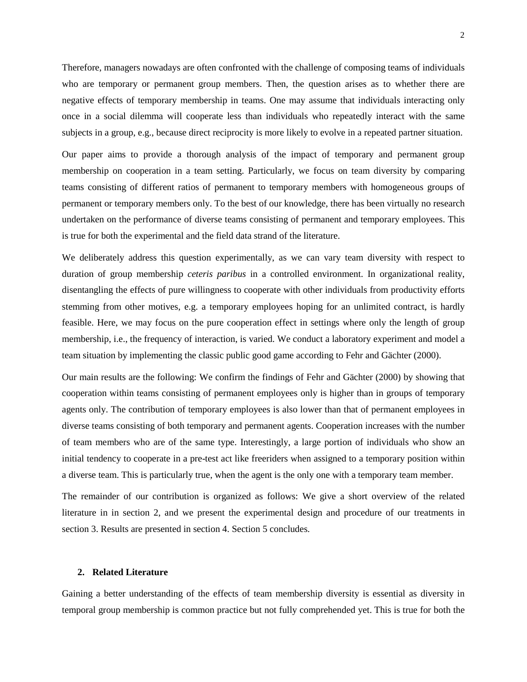Therefore, managers nowadays are often confronted with the challenge of composing teams of individuals who are temporary or permanent group members. Then, the question arises as to whether there are negative effects of temporary membership in teams. One may assume that individuals interacting only once in a social dilemma will cooperate less than individuals who repeatedly interact with the same subjects in a group, e.g., because direct reciprocity is more likely to evolve in a repeated partner situation.

Our paper aims to provide a thorough analysis of the impact of temporary and permanent group membership on cooperation in a team setting. Particularly, we focus on team diversity by comparing teams consisting of different ratios of permanent to temporary members with homogeneous groups of permanent or temporary members only. To the best of our knowledge, there has been virtually no research undertaken on the performance of diverse teams consisting of permanent and temporary employees. This is true for both the experimental and the field data strand of the literature.

We deliberately address this question experimentally, as we can vary team diversity with respect to duration of group membership *ceteris paribus* in a controlled environment. In organizational reality, disentangling the effects of pure willingness to cooperate with other individuals from productivity efforts stemming from other motives, e.g. a temporary employees hoping for an unlimited contract, is hardly feasible. Here, we may focus on the pure cooperation effect in settings where only the length of group membership, i.e., the frequency of interaction, is varied. We conduct a laboratory experiment and model a team situation by implementing the classic public good game according to Fehr and Gächter (2000).

Our main results are the following: We confirm the findings of Fehr and Gächter (2000) by showing that cooperation within teams consisting of permanent employees only is higher than in groups of temporary agents only. The contribution of temporary employees is also lower than that of permanent employees in diverse teams consisting of both temporary and permanent agents. Cooperation increases with the number of team members who are of the same type. Interestingly, a large portion of individuals who show an initial tendency to cooperate in a pre-test act like freeriders when assigned to a temporary position within a diverse team. This is particularly true, when the agent is the only one with a temporary team member.

The remainder of our contribution is organized as follows: We give a short overview of the related literature in in section 2, and we present the experimental design and procedure of our treatments in section 3. Results are presented in section 4. Section 5 concludes.

### **2. Related Literature**

Gaining a better understanding of the effects of team membership diversity is essential as diversity in temporal group membership is common practice but not fully comprehended yet. This is true for both the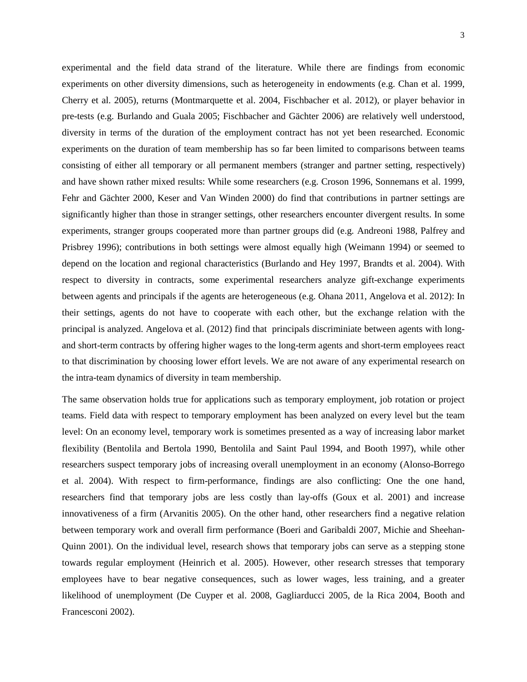experimental and the field data strand of the literature. While there are findings from economic experiments on other diversity dimensions, such as heterogeneity in endowments (e.g. Chan et al. 1999, Cherry et al. 2005), returns (Montmarquette et al. 2004, Fischbacher et al. 2012), or player behavior in pre-tests (e.g. Burlando and Guala 2005; Fischbacher and Gächter 2006) are relatively well understood, diversity in terms of the duration of the employment contract has not yet been researched. Economic experiments on the duration of team membership has so far been limited to comparisons between teams consisting of either all temporary or all permanent members (stranger and partner setting, respectively) and have shown rather mixed results: While some researchers (e.g. Croson 1996, Sonnemans et al. 1999, Fehr and Gächter 2000, Keser and Van Winden 2000) do find that contributions in partner settings are significantly higher than those in stranger settings, other researchers encounter divergent results. In some experiments, stranger groups cooperated more than partner groups did (e.g. Andreoni 1988, Palfrey and Prisbrey 1996); contributions in both settings were almost equally high (Weimann 1994) or seemed to depend on the location and regional characteristics (Burlando and Hey 1997, Brandts et al. 2004). With respect to diversity in contracts, some experimental researchers analyze gift-exchange experiments between agents and principals if the agents are heterogeneous (e.g. Ohana 2011, Angelova et al. 2012): In their settings, agents do not have to cooperate with each other, but the exchange relation with the principal is analyzed. Angelova et al. (2012) find that principals discriminiate between agents with longand short-term contracts by offering higher wages to the long-term agents and short-term employees react to that discrimination by choosing lower effort levels. We are not aware of any experimental research on the intra-team dynamics of diversity in team membership.

The same observation holds true for applications such as temporary employment, job rotation or project teams. Field data with respect to temporary employment has been analyzed on every level but the team level: On an economy level, temporary work is sometimes presented as a way of increasing labor market flexibility (Bentolila and Bertola 1990, Bentolila and Saint Paul 1994, and Booth 1997), while other researchers suspect temporary jobs of increasing overall unemployment in an economy (Alonso-Borrego et al. 2004). With respect to firm-performance, findings are also conflicting: One the one hand, researchers find that temporary jobs are less costly than lay-offs (Goux et al. 2001) and increase innovativeness of a firm (Arvanitis 2005). On the other hand, other researchers find a negative relation between temporary work and overall firm performance (Boeri and Garibaldi 2007, Michie and Sheehan-Quinn 2001). On the individual level, research shows that temporary jobs can serve as a stepping stone towards regular employment (Heinrich et al. 2005). However, other research stresses that temporary employees have to bear negative consequences, such as lower wages, less training, and a greater likelihood of unemployment (De Cuyper et al. 2008, Gagliarducci 2005, de la Rica 2004, Booth and Francesconi 2002).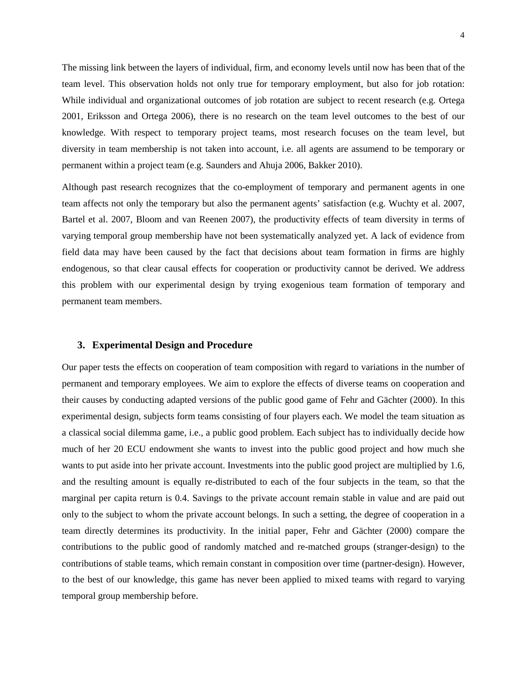The missing link between the layers of individual, firm, and economy levels until now has been that of the team level. This observation holds not only true for temporary employment, but also for job rotation: While individual and organizational outcomes of job rotation are subject to recent research (e.g. Ortega 2001, Eriksson and Ortega 2006), there is no research on the team level outcomes to the best of our knowledge. With respect to temporary project teams, most research focuses on the team level, but diversity in team membership is not taken into account, i.e. all agents are assumend to be temporary or permanent within a project team (e.g. Saunders and Ahuja 2006, Bakker 2010).

Although past research recognizes that the co-employment of temporary and permanent agents in one team affects not only the temporary but also the permanent agents' satisfaction (e.g. Wuchty et al. 2007, Bartel et al. 2007, Bloom and van Reenen 2007), the productivity effects of team diversity in terms of varying temporal group membership have not been systematically analyzed yet. A lack of evidence from field data may have been caused by the fact that decisions about team formation in firms are highly endogenous, so that clear causal effects for cooperation or productivity cannot be derived. We address this problem with our experimental design by trying exogenious team formation of temporary and permanent team members.

## **3. Experimental Design and Procedure**

Our paper tests the effects on cooperation of team composition with regard to variations in the number of permanent and temporary employees. We aim to explore the effects of diverse teams on cooperation and their causes by conducting adapted versions of the public good game of Fehr and Gächter (2000). In this experimental design, subjects form teams consisting of four players each. We model the team situation as a classical social dilemma game, i.e., a public good problem. Each subject has to individually decide how much of her 20 ECU endowment she wants to invest into the public good project and how much she wants to put aside into her private account. Investments into the public good project are multiplied by 1.6, and the resulting amount is equally re-distributed to each of the four subjects in the team, so that the marginal per capita return is 0.4. Savings to the private account remain stable in value and are paid out only to the subject to whom the private account belongs. In such a setting, the degree of cooperation in a team directly determines its productivity. In the initial paper, Fehr and Gächter (2000) compare the contributions to the public good of randomly matched and re-matched groups (stranger-design) to the contributions of stable teams, which remain constant in composition over time (partner-design). However, to the best of our knowledge, this game has never been applied to mixed teams with regard to varying temporal group membership before.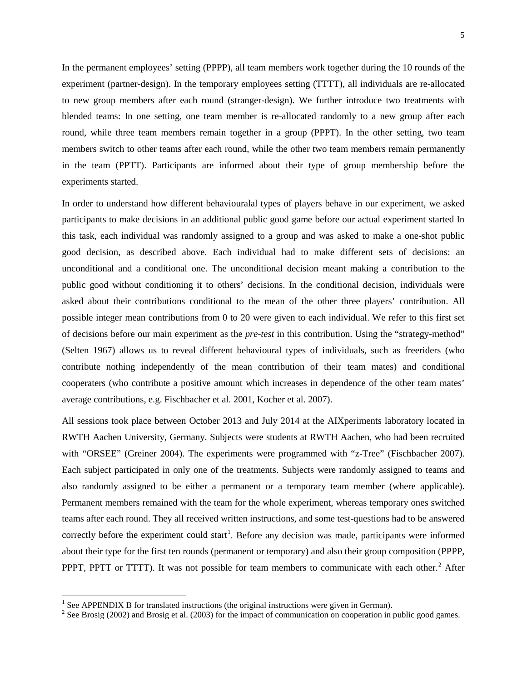In the permanent employees' setting (PPPP), all team members work together during the 10 rounds of the experiment (partner-design). In the temporary employees setting (TTTT), all individuals are re-allocated to new group members after each round (stranger-design). We further introduce two treatments with blended teams: In one setting, one team member is re-allocated randomly to a new group after each round, while three team members remain together in a group (PPPT). In the other setting, two team members switch to other teams after each round, while the other two team members remain permanently in the team (PPTT). Participants are informed about their type of group membership before the experiments started.

In order to understand how different behaviouralal types of players behave in our experiment, we asked participants to make decisions in an additional public good game before our actual experiment started In this task, each individual was randomly assigned to a group and was asked to make a one-shot public good decision, as described above. Each individual had to make different sets of decisions: an unconditional and a conditional one. The unconditional decision meant making a contribution to the public good without conditioning it to others' decisions. In the conditional decision, individuals were asked about their contributions conditional to the mean of the other three players' contribution. All possible integer mean contributions from 0 to 20 were given to each individual. We refer to this first set of decisions before our main experiment as the *pre-test* in this contribution. Using the "strategy-method" (Selten 1967) allows us to reveal different behavioural types of individuals, such as freeriders (who contribute nothing independently of the mean contribution of their team mates) and conditional cooperaters (who contribute a positive amount which increases in dependence of the other team mates' average contributions, e.g. Fischbacher et al. 2001, Kocher et al. 2007).

All sessions took place between October 2013 and July 2014 at the AIXperiments laboratory located in RWTH Aachen University, Germany. Subjects were students at RWTH Aachen, who had been recruited with "ORSEE" (Greiner 2004). The experiments were programmed with "z-Tree" (Fischbacher 2007). Each subject participated in only one of the treatments. Subjects were randomly assigned to teams and also randomly assigned to be either a permanent or a temporary team member (where applicable). Permanent members remained with the team for the whole experiment, whereas temporary ones switched teams after each round. They all received written instructions, and some test-questions had to be answered correctly before the experiment could start<sup>[1](#page-3-0)</sup>. Before any decision was made, participants were informed about their type for the first ten rounds (permanent or temporary) and also their group composition (PPPP, PPPT, PPTT or TTTT). It was not possible for team members to communicate with each other.<sup>[2](#page-7-0)</sup> After

<span id="page-7-0"></span>

<span id="page-7-1"></span><sup>&</sup>lt;sup>1</sup> See APPENDIX B for translated instructions (the original instructions were given in German). <sup>2</sup> See Brosig (2002) and Brosig et al. (2003) for the impact of communication on cooperation in public good games.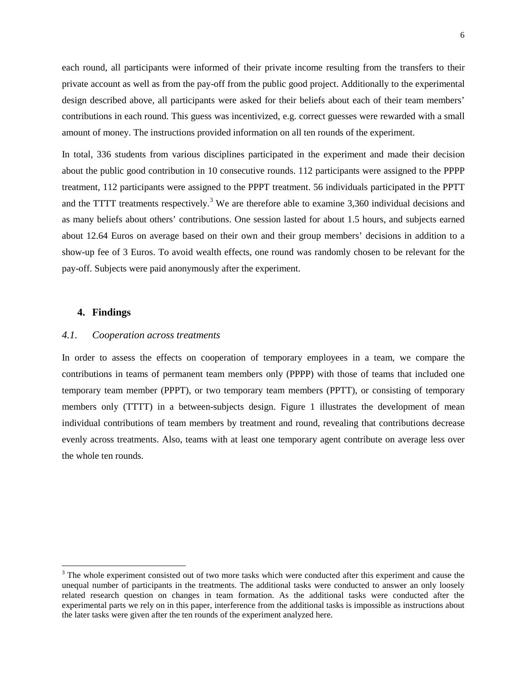each round, all participants were informed of their private income resulting from the transfers to their private account as well as from the pay-off from the public good project. Additionally to the experimental design described above, all participants were asked for their beliefs about each of their team members' contributions in each round. This guess was incentivized, e.g. correct guesses were rewarded with a small amount of money. The instructions provided information on all ten rounds of the experiment.

In total, 336 students from various disciplines participated in the experiment and made their decision about the public good contribution in 10 consecutive rounds. 112 participants were assigned to the PPPP treatment, 112 participants were assigned to the PPPT treatment. 56 individuals participated in the PPTT and the TTTT treatments respectively.<sup>[3](#page-7-1)</sup> We are therefore able to examine 3,360 individual decisions and as many beliefs about others' contributions. One session lasted for about 1.5 hours, and subjects earned about 12.64 Euros on average based on their own and their group members' decisions in addition to a show-up fee of 3 Euros. To avoid wealth effects, one round was randomly chosen to be relevant for the pay-off. Subjects were paid anonymously after the experiment.

# **4. Findings**

### *4.1. Cooperation across treatments*

In order to assess the effects on cooperation of temporary employees in a team, we compare the contributions in teams of permanent team members only (PPPP) with those of teams that included one temporary team member (PPPT), or two temporary team members (PPTT), or consisting of temporary members only (TTTT) in a between-subjects design. Figure 1 illustrates the development of mean individual contributions of team members by treatment and round, revealing that contributions decrease evenly across treatments. Also, teams with at least one temporary agent contribute on average less over the whole ten rounds.

<span id="page-8-0"></span><sup>&</sup>lt;sup>3</sup> The whole experiment consisted out of two more tasks which were conducted after this experiment and cause the unequal number of participants in the treatments. The additional tasks were conducted to answer an only loosely related research question on changes in team formation. As the additional tasks were conducted after the experimental parts we rely on in this paper, interference from the additional tasks is impossible as instructions about the later tasks were given after the ten rounds of the experiment analyzed here.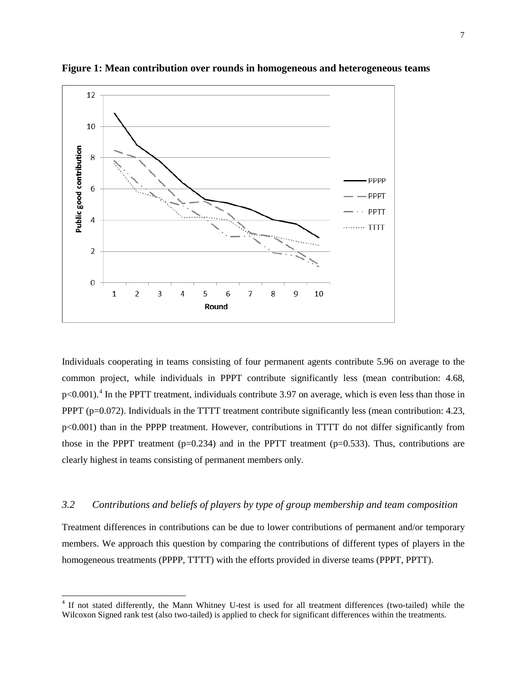

**Figure 1: Mean contribution over rounds in homogeneous and heterogeneous teams**

Individuals cooperating in teams consisting of four permanent agents contribute 5.96 on average to the common project, while individuals in PPPT contribute significantly less (mean contribution: 4.68,  $p<0.001$ .<sup>[4](#page-8-0)</sup> In the PPTT treatment, individuals contribute 3.97 on average, which is even less than those in PPPT (p=0.072). Individuals in the TTTT treatment contribute significantly less (mean contribution: 4.23, p<0.001) than in the PPPP treatment. However, contributions in TTTT do not differ significantly from those in the PPPT treatment ( $p=0.234$ ) and in the PPTT treatment ( $p=0.533$ ). Thus, contributions are clearly highest in teams consisting of permanent members only.

# *3.2 Contributions and beliefs of players by type of group membership and team composition*

<span id="page-9-0"></span>Treatment differences in contributions can be due to lower contributions of permanent and/or temporary members. We approach this question by comparing the contributions of different types of players in the homogeneous treatments (PPPP, TTTT) with the efforts provided in diverse teams (PPPT, PPTT).

<sup>&</sup>lt;sup>4</sup> If not stated differently, the Mann Whitney U-test is used for all treatment differences (two-tailed) while the Wilcoxon Signed rank test (also two-tailed) is applied to check for significant differences within the treatments.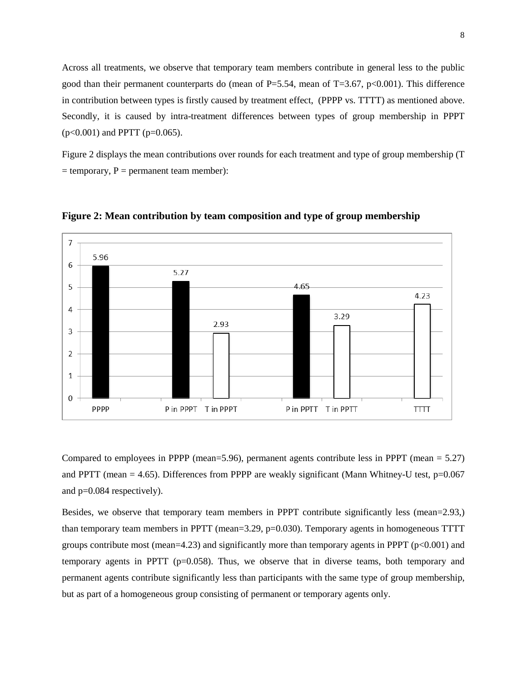Across all treatments, we observe that temporary team members contribute in general less to the public good than their permanent counterparts do (mean of  $P=5.54$ , mean of T=3.67, p<0.001). This difference in contribution between types is firstly caused by treatment effect, (PPPP vs. TTTT) as mentioned above. Secondly, it is caused by intra-treatment differences between types of group membership in PPPT  $(p<0.001)$  and PPTT ( $p=0.065$ ).

Figure 2 displays the mean contributions over rounds for each treatment and type of group membership (T  $=$  temporary,  $P =$  permanent team member):



**Figure 2: Mean contribution by team composition and type of group membership**

Compared to employees in PPPP (mean=5.96), permanent agents contribute less in PPPT (mean = 5.27) and PPTT (mean  $= 4.65$ ). Differences from PPPP are weakly significant (Mann Whitney-U test, p=0.067 and p=0.084 respectively).

Besides, we observe that temporary team members in PPPT contribute significantly less (mean=2.93,) than temporary team members in PPTT (mean=3.29, p=0.030). Temporary agents in homogeneous TTTT groups contribute most (mean=4.23) and significantly more than temporary agents in PPPT ( $p<0.001$ ) and temporary agents in PPTT ( $p=0.058$ ). Thus, we observe that in diverse teams, both temporary and permanent agents contribute significantly less than participants with the same type of group membership, but as part of a homogeneous group consisting of permanent or temporary agents only.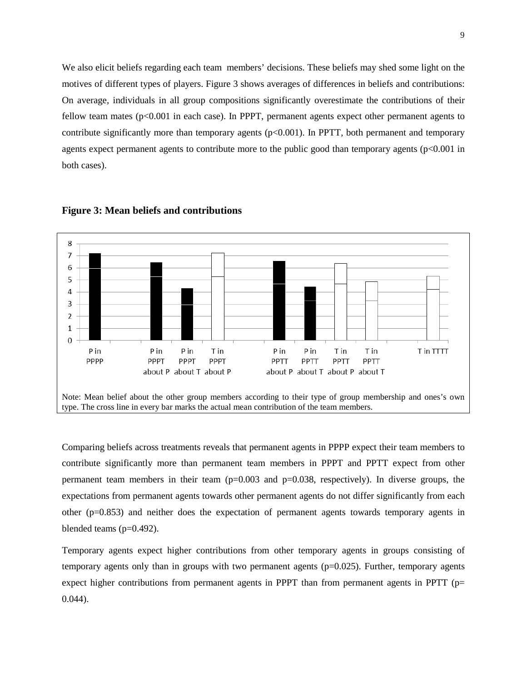We also elicit beliefs regarding each team members' decisions. These beliefs may shed some light on the motives of different types of players. Figure 3 shows averages of differences in beliefs and contributions: On average, individuals in all group compositions significantly overestimate the contributions of their fellow team mates (p<0.001 in each case). In PPPT, permanent agents expect other permanent agents to contribute significantly more than temporary agents  $(p<0.001)$ . In PPTT, both permanent and temporary agents expect permanent agents to contribute more to the public good than temporary agents  $(p<0.001$  in both cases).



#### **Figure 3: Mean beliefs and contributions**

Comparing beliefs across treatments reveals that permanent agents in PPPP expect their team members to contribute significantly more than permanent team members in PPPT and PPTT expect from other permanent team members in their team  $(p=0.003$  and  $p=0.038$ , respectively). In diverse groups, the expectations from permanent agents towards other permanent agents do not differ significantly from each other (p=0.853) and neither does the expectation of permanent agents towards temporary agents in blended teams (p=0.492).

Temporary agents expect higher contributions from other temporary agents in groups consisting of temporary agents only than in groups with two permanent agents  $(p=0.025)$ . Further, temporary agents expect higher contributions from permanent agents in PPPT than from permanent agents in PPTT ( $p=$ 0.044).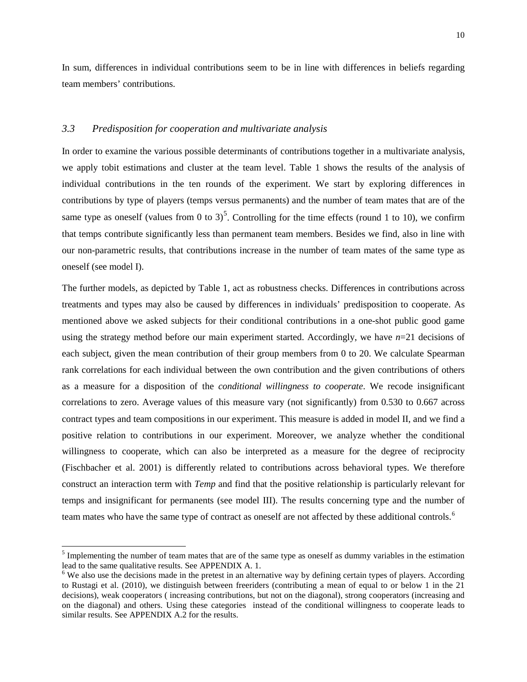In sum, differences in individual contributions seem to be in line with differences in beliefs regarding team members' contributions.

## *3.3 Predisposition for cooperation and multivariate analysis*

In order to examine the various possible determinants of contributions together in a multivariate analysis, we apply tobit estimations and cluster at the team level. Table 1 shows the results of the analysis of individual contributions in the ten rounds of the experiment. We start by exploring differences in contributions by type of players (temps versus permanents) and the number of team mates that are of the same type as oneself (values from 0 to 3)<sup>[5](#page-9-0)</sup>. Controlling for the time effects (round 1 to 10), we confirm that temps contribute significantly less than permanent team members. Besides we find, also in line with our non-parametric results, that contributions increase in the number of team mates of the same type as oneself (see model I).

The further models, as depicted by Table 1, act as robustness checks. Differences in contributions across treatments and types may also be caused by differences in individuals' predisposition to cooperate. As mentioned above we asked subjects for their conditional contributions in a one-shot public good game using the strategy method before our main experiment started. Accordingly, we have *n*=21 decisions of each subject, given the mean contribution of their group members from 0 to 20. We calculate Spearman rank correlations for each individual between the own contribution and the given contributions of others as a measure for a disposition of the *conditional willingness to cooperate*. We recode insignificant correlations to zero. Average values of this measure vary (not significantly) from 0.530 to 0.667 across contract types and team compositions in our experiment. This measure is added in model II, and we find a positive relation to contributions in our experiment. Moreover, we analyze whether the conditional willingness to cooperate, which can also be interpreted as a measure for the degree of reciprocity (Fischbacher et al. 2001) is differently related to contributions across behavioral types. We therefore construct an interaction term with *Temp* and find that the positive relationship is particularly relevant for temps and insignificant for permanents (see model III). The results concerning type and the number of team mates who have the same type of contract as oneself are not affected by these additional controls. [6](#page-12-0)

<span id="page-12-1"></span><sup>&</sup>lt;sup>5</sup> Implementing the number of team mates that are of the same type as oneself as dummy variables in the estimation lead to the same qualitative results. See APPENDIX A. 1.<br><sup>6</sup> We also use the decisions made in the pretest in an alternative way by defining certain types of players. According

<span id="page-12-0"></span>to Rustagi et al. (2010), we distinguish between freeriders (contributing a mean of equal to or below 1 in the 21 decisions), weak cooperators ( increasing contributions, but not on the diagonal), strong cooperators (increasing and on the diagonal) and others. Using these categories instead of the conditional willingness to cooperate leads to similar results. See APPENDIX A.2 for the results.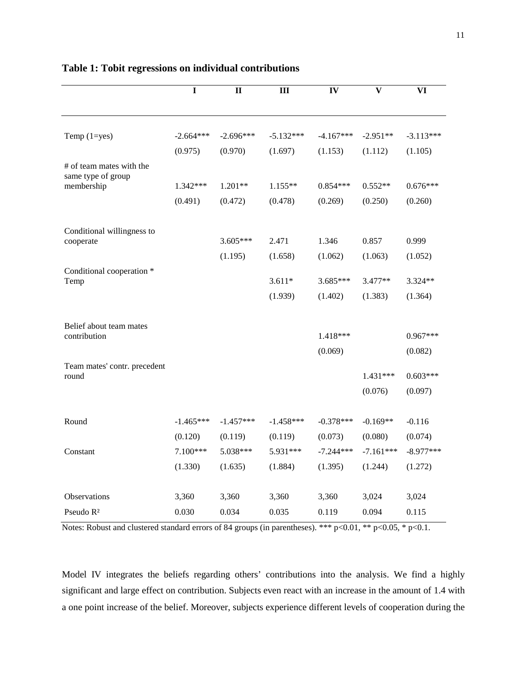|                                       | $\mathbf I$ | $\mathbf{I}$ | Ш           | IV          | $\overline{\mathbf{v}}$ | VI          |
|---------------------------------------|-------------|--------------|-------------|-------------|-------------------------|-------------|
|                                       |             |              |             |             |                         |             |
| Temp $(1=yes)$                        | $-2.664***$ | $-2.696***$  | $-5.132***$ | $-4.167***$ | $-2.951**$              | $-3.113***$ |
|                                       | (0.975)     | (0.970)      | (1.697)     | (1.153)     | (1.112)                 | (1.105)     |
| # of team mates with the              |             |              |             |             |                         |             |
| same type of group                    | 1.342***    | 1.201**      | $1.155**$   | $0.854***$  | $0.552**$               | $0.676***$  |
| membership                            |             |              |             |             |                         |             |
|                                       | (0.491)     | (0.472)      | (0.478)     | (0.269)     | (0.250)                 | (0.260)     |
| Conditional willingness to            |             |              |             |             |                         |             |
| cooperate                             |             | $3.605***$   | 2.471       | 1.346       | 0.857                   | 0.999       |
|                                       |             | (1.195)      | (1.658)     | (1.062)     | (1.063)                 | (1.052)     |
| Conditional cooperation *             |             |              |             |             |                         |             |
| Temp                                  |             |              | $3.611*$    | 3.685***    | 3.477**                 | 3.324**     |
|                                       |             |              | (1.939)     | (1.402)     | (1.383)                 | (1.364)     |
|                                       |             |              |             |             |                         |             |
| Belief about team mates               |             |              |             |             |                         |             |
| contribution                          |             |              |             | 1.418***    |                         | $0.967***$  |
|                                       |             |              |             | (0.069)     |                         | (0.082)     |
| Team mates' contr. precedent<br>round |             |              |             |             | 1.431***                | $0.603***$  |
|                                       |             |              |             |             | (0.076)                 | (0.097)     |
|                                       |             |              |             |             |                         |             |
| Round                                 | $-1.465***$ | $-1.457***$  | $-1.458***$ | $-0.378***$ | $-0.169**$              | $-0.116$    |
|                                       | (0.120)     | (0.119)      | (0.119)     | (0.073)     | (0.080)                 | (0.074)     |
| Constant                              | 7.100***    | 5.038***     | 5.931***    | $-7.244***$ | $-7.161***$             | $-8.977***$ |
|                                       | (1.330)     | (1.635)      | (1.884)     | (1.395)     | (1.244)                 | (1.272)     |
|                                       |             |              |             |             |                         |             |
| Observations                          | 3,360       | 3,360        | 3,360       | 3,360       | 3,024                   | 3,024       |
| Pseudo R <sup>2</sup>                 | 0.030       | 0.034        | 0.035       | 0.119       | 0.094                   | 0.115       |

# **Table 1: Tobit regressions on individual contributions**

Notes: Robust and clustered standard errors of 84 groups (in parentheses). \*\*\* p<0.01, \*\* p<0.05, \* p<0.1.

Model IV integrates the beliefs regarding others' contributions into the analysis. We find a highly significant and large effect on contribution. Subjects even react with an increase in the amount of 1.4 with a one point increase of the belief. Moreover, subjects experience different levels of cooperation during the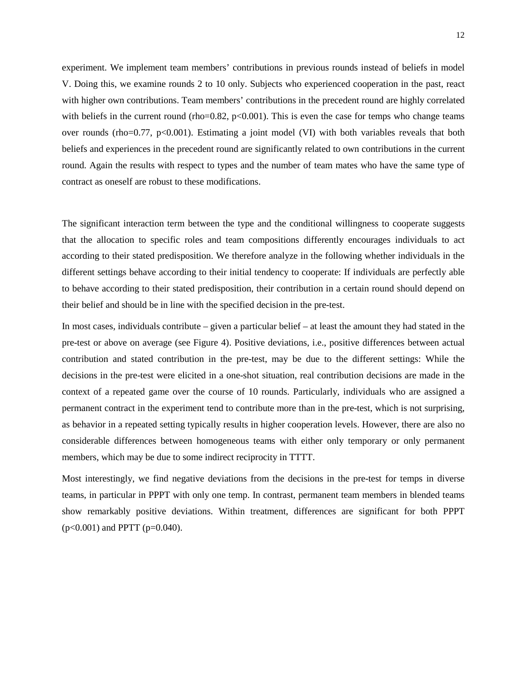experiment. We implement team members' contributions in previous rounds instead of beliefs in model V. Doing this, we examine rounds 2 to 10 only. Subjects who experienced cooperation in the past, react with higher own contributions. Team members' contributions in the precedent round are highly correlated with beliefs in the current round (rho=0.82,  $p<0.001$ ). This is even the case for temps who change teams over rounds (rho=0.77, p<0.001). Estimating a joint model (VI) with both variables reveals that both beliefs and experiences in the precedent round are significantly related to own contributions in the current round. Again the results with respect to types and the number of team mates who have the same type of contract as oneself are robust to these modifications.

The significant interaction term between the type and the conditional willingness to cooperate suggests that the allocation to specific roles and team compositions differently encourages individuals to act according to their stated predisposition. We therefore analyze in the following whether individuals in the different settings behave according to their initial tendency to cooperate: If individuals are perfectly able to behave according to their stated predisposition, their contribution in a certain round should depend on their belief and should be in line with the specified decision in the pre-test.

In most cases, individuals contribute – given a particular belief – at least the amount they had stated in the pre-test or above on average (see Figure 4). Positive deviations, i.e., positive differences between actual contribution and stated contribution in the pre-test, may be due to the different settings: While the decisions in the pre-test were elicited in a one-shot situation, real contribution decisions are made in the context of a repeated game over the course of 10 rounds. Particularly, individuals who are assigned a permanent contract in the experiment tend to contribute more than in the pre-test, which is not surprising, as behavior in a repeated setting typically results in higher cooperation levels. However, there are also no considerable differences between homogeneous teams with either only temporary or only permanent members, which may be due to some indirect reciprocity in TTTT.

Most interestingly, we find negative deviations from the decisions in the pre-test for temps in diverse teams, in particular in PPPT with only one temp. In contrast, permanent team members in blended teams show remarkably positive deviations. Within treatment, differences are significant for both PPPT  $(p<0.001)$  and PPTT ( $p=0.040$ ).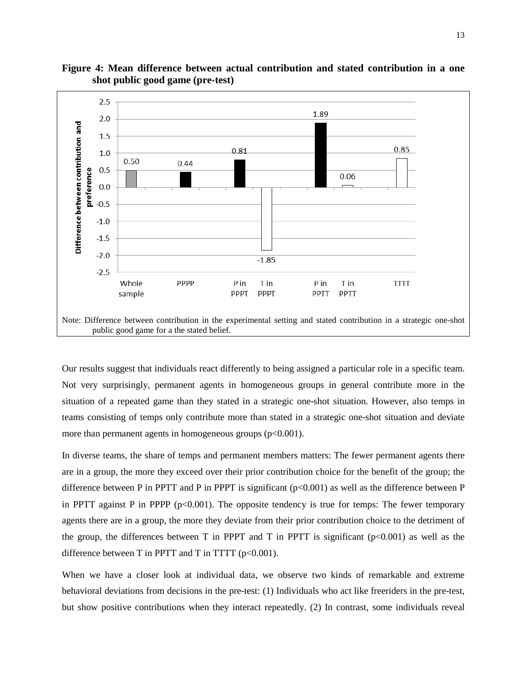

**Figure 4: Mean difference between actual contribution and stated contribution in a one shot public good game (pre-test)**

Our results suggest that individuals react differently to being assigned a particular role in a specific team. Not very surprisingly, permanent agents in homogeneous groups in general contribute more in the situation of a repeated game than they stated in a strategic one-shot situation. However, also temps in teams consisting of temps only contribute more than stated in a strategic one-shot situation and deviate more than permanent agents in homogeneous groups  $(p<0.001)$ .

In diverse teams, the share of temps and permanent members matters: The fewer permanent agents there are in a group, the more they exceed over their prior contribution choice for the benefit of the group; the difference between P in PPTT and P in PPPT is significant  $(p<0.001)$  as well as the difference between P in PPTT against P in PPPP  $(p<0.001)$ . The opposite tendency is true for temps: The fewer temporary agents there are in a group, the more they deviate from their prior contribution choice to the detriment of the group, the differences between T in PPPT and T in PPTT is significant  $(p<0.001)$  as well as the difference between T in PPTT and T in TTTT  $(p<0.001)$ .

When we have a closer look at individual data, we observe two kinds of remarkable and extreme behavioral deviations from decisions in the pre-test: (1) Individuals who act like freeriders in the pre-test, but show positive contributions when they interact repeatedly. (2) In contrast, some individuals reveal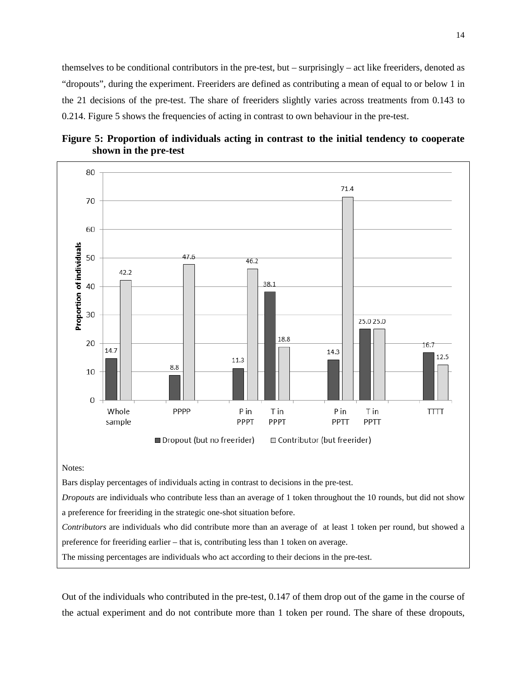themselves to be conditional contributors in the pre-test, but – surprisingly – act like freeriders, denoted as "dropouts", during the experiment. Freeriders are defined as contributing a mean of equal to or below 1 in the 21 decisions of the pre-test. The share of freeriders slightly varies across treatments from 0.143 to 0.214. Figure 5 shows the frequencies of acting in contrast to own behaviour in the pre-test.





a preference for freeriding in the strategic one-shot situation before.

*Contributors* are individuals who did contribute more than an average of at least 1 token per round, but showed a preference for freeriding earlier – that is, contributing less than 1 token on average.

The missing percentages are individuals who act according to their decions in the pre-test.

Out of the individuals who contributed in the pre-test, 0.147 of them drop out of the game in the course of the actual experiment and do not contribute more than 1 token per round. The share of these dropouts,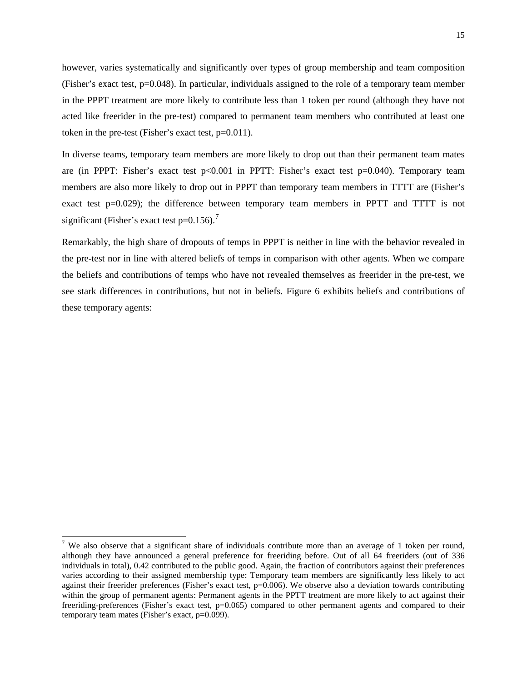however, varies systematically and significantly over types of group membership and team composition (Fisher's exact test, p=0.048). In particular, individuals assigned to the role of a temporary team member in the PPPT treatment are more likely to contribute less than 1 token per round (although they have not acted like freerider in the pre-test) compared to permanent team members who contributed at least one token in the pre-test (Fisher's exact test, p=0.011).

In diverse teams, temporary team members are more likely to drop out than their permanent team mates are (in PPPT: Fisher's exact test p<0.001 in PPTT: Fisher's exact test p=0.040). Temporary team members are also more likely to drop out in PPPT than temporary team members in TTTT are (Fisher's exact test p=0.029); the difference between temporary team members in PPTT and TTTT is not significant (Fisher's exact test  $p=0.156$ ).<sup>[7](#page-12-1)</sup>

Remarkably, the high share of dropouts of temps in PPPT is neither in line with the behavior revealed in the pre-test nor in line with altered beliefs of temps in comparison with other agents. When we compare the beliefs and contributions of temps who have not revealed themselves as freerider in the pre-test, we see stark differences in contributions, but not in beliefs. Figure 6 exhibits beliefs and contributions of these temporary agents:

<span id="page-17-0"></span><sup>&</sup>lt;sup>7</sup> We also observe that a significant share of individuals contribute more than an average of 1 token per round, although they have announced a general preference for freeriding before. Out of all 64 freeriders (out of 336 individuals in total), 0.42 contributed to the public good. Again, the fraction of contributors against their preferences varies according to their assigned membership type: Temporary team members are significantly less likely to act against their freerider preferences (Fisher's exact test, p=0.006). We observe also a deviation towards contributing within the group of permanent agents: Permanent agents in the PPTT treatment are more likely to act against their freeriding-preferences (Fisher's exact test, p=0.065) compared to other permanent agents and compared to their temporary team mates (Fisher's exact, p=0.099).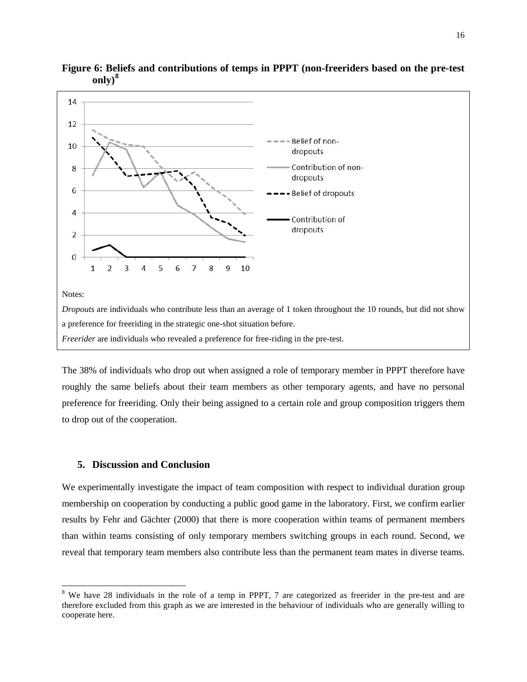

**Figure 6: Beliefs and contributions of temps in PPPT (non-freeriders based on the pre-test only)[8](#page-17-0)**

The 38% of individuals who drop out when assigned a role of temporary member in PPPT therefore have roughly the same beliefs about their team members as other temporary agents, and have no personal preference for freeriding. Only their being assigned to a certain role and group composition triggers them to drop out of the cooperation.

# **5. Discussion and Conclusion**

We experimentally investigate the impact of team composition with respect to individual duration group membership on cooperation by conducting a public good game in the laboratory. First, we confirm earlier results by Fehr and Gächter (2000) that there is more cooperation within teams of permanent members than within teams consisting of only temporary members switching groups in each round. Second, we reveal that temporary team members also contribute less than the permanent team mates in diverse teams.

<span id="page-18-0"></span><sup>&</sup>lt;sup>8</sup> We have 28 individuals in the role of a temp in PPPT, 7 are categorized as freerider in the pre-test and are therefore excluded from this graph as we are interested in the behaviour of individuals who are generally willing to cooperate here.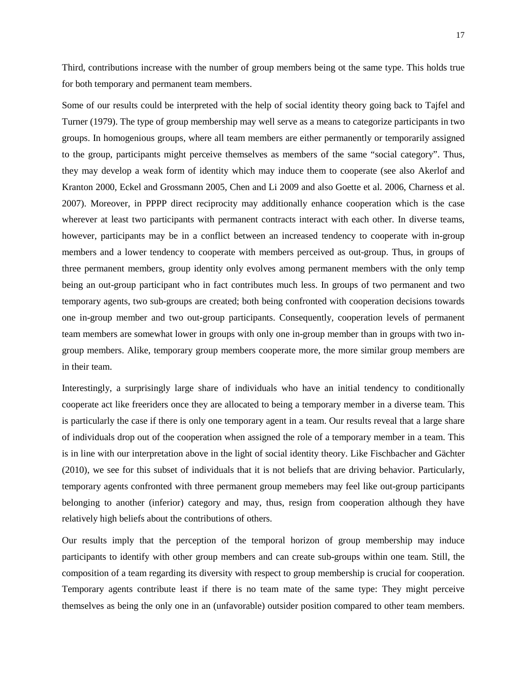Third, contributions increase with the number of group members being ot the same type. This holds true for both temporary and permanent team members.

Some of our results could be interpreted with the help of social identity theory going back to Tajfel and Turner (1979). The type of group membership may well serve as a means to categorize participants in two groups. In homogenious groups, where all team members are either permanently or temporarily assigned to the group, participants might perceive themselves as members of the same "social category". Thus, they may develop a weak form of identity which may induce them to cooperate (see also Akerlof and Kranton 2000, Eckel and Grossmann 2005, Chen and Li 2009 and also Goette et al. 2006, Charness et al. 2007). Moreover, in PPPP direct reciprocity may additionally enhance cooperation which is the case wherever at least two participants with permanent contracts interact with each other. In diverse teams, however, participants may be in a conflict between an increased tendency to cooperate with in-group members and a lower tendency to cooperate with members perceived as out-group. Thus, in groups of three permanent members, group identity only evolves among permanent members with the only temp being an out-group participant who in fact contributes much less. In groups of two permanent and two temporary agents, two sub-groups are created; both being confronted with cooperation decisions towards one in-group member and two out-group participants. Consequently, cooperation levels of permanent team members are somewhat lower in groups with only one in-group member than in groups with two ingroup members. Alike, temporary group members cooperate more, the more similar group members are in their team.

Interestingly, a surprisingly large share of individuals who have an initial tendency to conditionally cooperate act like freeriders once they are allocated to being a temporary member in a diverse team. This is particularly the case if there is only one temporary agent in a team. Our results reveal that a large share of individuals drop out of the cooperation when assigned the role of a temporary member in a team. This is in line with our interpretation above in the light of social identity theory. Like Fischbacher and Gächter (2010), we see for this subset of individuals that it is not beliefs that are driving behavior. Particularly, temporary agents confronted with three permanent group memebers may feel like out-group participants belonging to another (inferior) category and may, thus, resign from cooperation although they have relatively high beliefs about the contributions of others.

Our results imply that the perception of the temporal horizon of group membership may induce participants to identify with other group members and can create sub-groups within one team. Still, the composition of a team regarding its diversity with respect to group membership is crucial for cooperation. Temporary agents contribute least if there is no team mate of the same type: They might perceive themselves as being the only one in an (unfavorable) outsider position compared to other team members.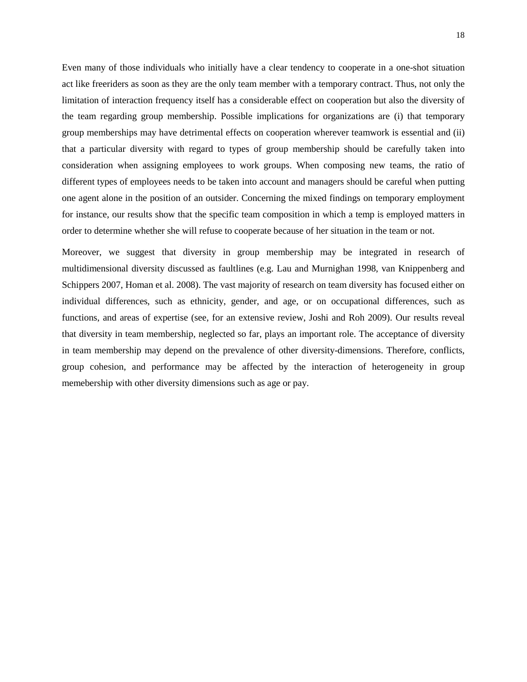Even many of those individuals who initially have a clear tendency to cooperate in a one-shot situation act like freeriders as soon as they are the only team member with a temporary contract. Thus, not only the limitation of interaction frequency itself has a considerable effect on cooperation but also the diversity of the team regarding group membership. Possible implications for organizations are (i) that temporary group memberships may have detrimental effects on cooperation wherever teamwork is essential and (ii) that a particular diversity with regard to types of group membership should be carefully taken into consideration when assigning employees to work groups. When composing new teams, the ratio of different types of employees needs to be taken into account and managers should be careful when putting one agent alone in the position of an outsider. Concerning the mixed findings on temporary employment for instance, our results show that the specific team composition in which a temp is employed matters in order to determine whether she will refuse to cooperate because of her situation in the team or not.

Moreover, we suggest that diversity in group membership may be integrated in research of multidimensional diversity discussed as faultlines (e.g. Lau and Murnighan 1998, van Knippenberg and Schippers 2007, Homan et al. 2008). The vast majority of research on team diversity has focused either on individual differences, such as ethnicity, gender, and age, or on occupational differences, such as functions, and areas of expertise (see, for an extensive review, Joshi and Roh 2009). Our results reveal that diversity in team membership, neglected so far, plays an important role. The acceptance of diversity in team membership may depend on the prevalence of other diversity-dimensions. Therefore, conflicts, group cohesion, and performance may be affected by the interaction of heterogeneity in group memebership with other diversity dimensions such as age or pay.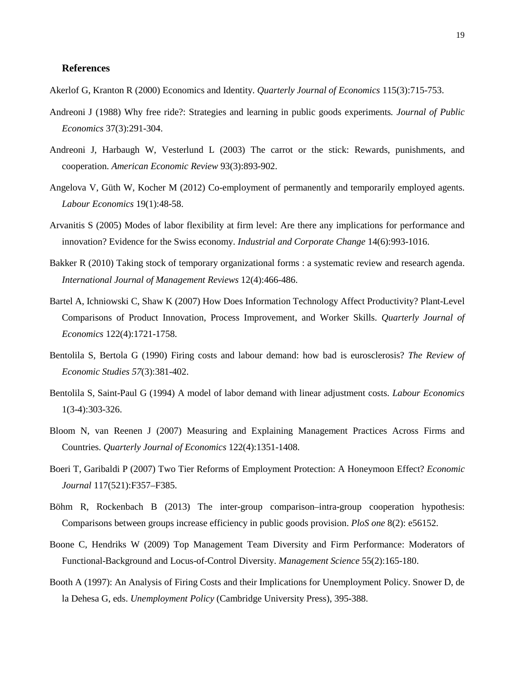# **References**

Akerlof G, Kranton R (2000) Economics and Identity. *Quarterly Journal of Economics* 115(3):715-753.

- Andreoni J (1988) Why free ride?: Strategies and learning in public goods experiments*. Journal of Public Economics* 37(3):291-304.
- Andreoni J, Harbaugh W, Vesterlund L (2003) The carrot or the stick: Rewards, punishments, and cooperation. *American Economic Review* 93(3):893-902.
- Angelova V, Güth W, Kocher M (2012) Co-employment of permanently and temporarily employed agents. *Labour Economics* 19(1):48-58.
- Arvanitis S (2005) Modes of labor flexibility at firm level: Are there any implications for performance and innovation? Evidence for the Swiss economy. *Industrial and Corporate Change* 14(6):993-1016.
- Bakker R (2010) Taking stock of temporary organizational forms : a systematic review and research agenda. *International Journal of Management Reviews* 12(4):466-486.
- Bartel A, Ichniowski C, Shaw K (2007) How Does Information Technology Affect Productivity? Plant-Level Comparisons of Product Innovation, Process Improvement, and Worker Skills. *Quarterly Journal of Economics* 122(4):1721-1758.
- Bentolila S, Bertola G (1990) Firing costs and labour demand: how bad is eurosclerosis? *The Review of Economic Studies 57*(3):381-402.
- Bentolila S, Saint-Paul G (1994) A model of labor demand with linear adjustment costs. *Labour Economics* 1(3-4):303-326.
- Bloom N, van Reenen J (2007) Measuring and Explaining Management Practices Across Firms and Countries. *Quarterly Journal of Economics* 122(4):1351-1408.
- Boeri T, Garibaldi P (2007) Two Tier Reforms of Employment Protection: A Honeymoon Effect? *Economic Journal* 117(521):F357–F385.
- Böhm R, Rockenbach B (2013) The inter-group comparison–intra-group cooperation hypothesis: Comparisons between groups increase efficiency in public goods provision. *PloS one* 8(2): e56152.
- Boone C, Hendriks W (2009) Top Management Team Diversity and Firm Performance: Moderators of Functional-Background and Locus-of-Control Diversity. *Management Science* 55(2):165-180.
- Booth A (1997): An Analysis of Firing Costs and their Implications for Unemployment Policy. Snower D, de la Dehesa G, eds. *Unemployment Policy* (Cambridge University Press), 395-388.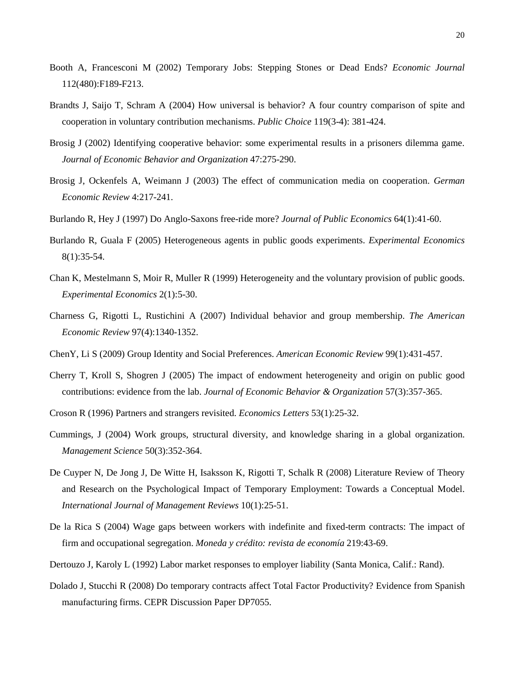- Booth A, Francesconi M (2002) Temporary Jobs: Stepping Stones or Dead Ends? *Economic Journal* 112(480):F189-F213.
- Brandts J, Saijo T, Schram A (2004) How universal is behavior? A four country comparison of spite and cooperation in voluntary contribution mechanisms. *Public Choice* 119(3-4): 381-424.
- Brosig J (2002) Identifying cooperative behavior: some experimental results in a prisoners dilemma game. *Journal of Economic Behavior and Organization* 47:275-290.
- Brosig J, Ockenfels A, Weimann J (2003) The effect of communication media on cooperation. *German Economic Review* 4:217-241.
- Burlando R, Hey J (1997) Do Anglo-Saxons free-ride more? *Journal of Public Economics* 64(1):41-60.
- Burlando R, Guala F (2005) Heterogeneous agents in public goods experiments. *Experimental Economics* 8(1):35-54.
- Chan K, Mestelmann S, Moir R, Muller R (1999) Heterogeneity and the voluntary provision of public goods. *Experimental Economics* 2(1):5-30.
- Charness G, Rigotti L, Rustichini A (2007) Individual behavior and group membership. *The American Economic Review* 97(4):1340-1352.
- ChenY, Li S (2009) Group Identity and Social Preferences. *American Economic Review* 99(1):431-457.
- Cherry T, Kroll S, Shogren J (2005) The impact of endowment heterogeneity and origin on public good contributions: evidence from the lab. *Journal of Economic Behavior & Organization* 57(3):357-365.
- Croson R (1996) Partners and strangers revisited. *Economics Letters* 53(1):25-32.
- Cummings, J (2004) Work groups, structural diversity, and knowledge sharing in a global organization. *Management Science* 50(3):352-364.
- De Cuyper N, De Jong J, De Witte H, Isaksson K, Rigotti T, Schalk R (2008) Literature Review of Theory and Research on the Psychological Impact of Temporary Employment: Towards a Conceptual Model. *International Journal of Management Reviews* 10(1):25-51.
- De la Rica S (2004) Wage gaps between workers with indefinite and fixed-term contracts: The impact of firm and occupational segregation. *Moneda y crédito: revista de economía* 219:43-69.
- Dertouzo J, Karoly L (1992) Labor market responses to employer liability (Santa Monica, Calif.: Rand).
- Dolado J, Stucchi R (2008) Do temporary contracts affect Total Factor Productivity? Evidence from Spanish manufacturing firms. CEPR Discussion Paper DP7055.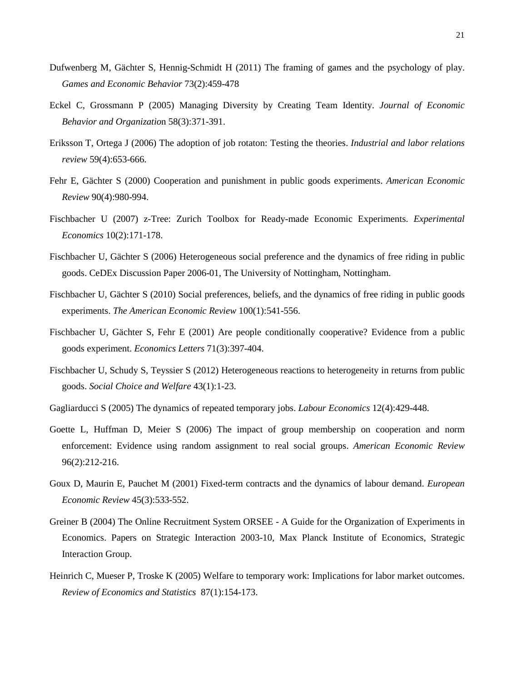- Dufwenberg M, Gächter S, Hennig-Schmidt H (2011) The framing of games and the psychology of play. *Games and Economic Behavior* 73(2):459-478
- Eckel C, Grossmann P (2005) Managing Diversity by Creating Team Identity. *Journal of Economic Behavior and Organizatio*n 58(3):371-391.
- Eriksson T, Ortega J (2006) The adoption of job rotaton: Testing the theories. *Industrial and labor relations review* 59(4):653-666.
- Fehr E, Gächter S (2000) Cooperation and punishment in public goods experiments. *American Economic Review* 90(4):980-994.
- Fischbacher U (2007) z-Tree: Zurich Toolbox for Ready-made Economic Experiments. *Experimental Economics* 10(2):171-178.
- Fischbacher U, Gächter S (2006) Heterogeneous social preference and the dynamics of free riding in public goods. CeDEx Discussion Paper 2006-01, The University of Nottingham, Nottingham.
- Fischbacher U, Gächter S (2010) Social preferences, beliefs, and the dynamics of free riding in public goods experiments. *The American Economic Review* 100(1):541-556.
- Fischbacher U, Gächter S, Fehr E (2001) Are people conditionally cooperative? Evidence from a public goods experiment. *Economics Letters* 71(3):397-404.
- Fischbacher U, Schudy S, Teyssier S (2012) Heterogeneous reactions to heterogeneity in returns from public goods. *Social Choice and Welfare* 43(1):1-23.
- Gagliarducci S (2005) The dynamics of repeated temporary jobs. *Labour Economics* 12(4):429-448.
- Goette L, Huffman D, Meier S (2006) The impact of group membership on cooperation and norm enforcement: Evidence using random assignment to real social groups. *American Economic Review* 96(2):212-216.
- Goux D, Maurin E, Pauchet M (2001) Fixed-term contracts and the dynamics of labour demand. *European Economic Review* 45(3):533-552.
- Greiner B (2004) The Online Recruitment System ORSEE [A Guide for the Organization of Experiments in](http://ideas.repec.org/p/esi/discus/2003-10.html)  [Economics.](http://ideas.repec.org/p/esi/discus/2003-10.html) [Papers on Strategic Interaction](http://ideas.repec.org/s/esi/discus.html) 2003-10, Max Planck Institute of Economics, Strategic Interaction Group.
- Heinrich C, Mueser P, Troske K (2005) Welfare to temporary work: Implications for labor market outcomes. *Review of Economics and Statistics* 87(1):154-173.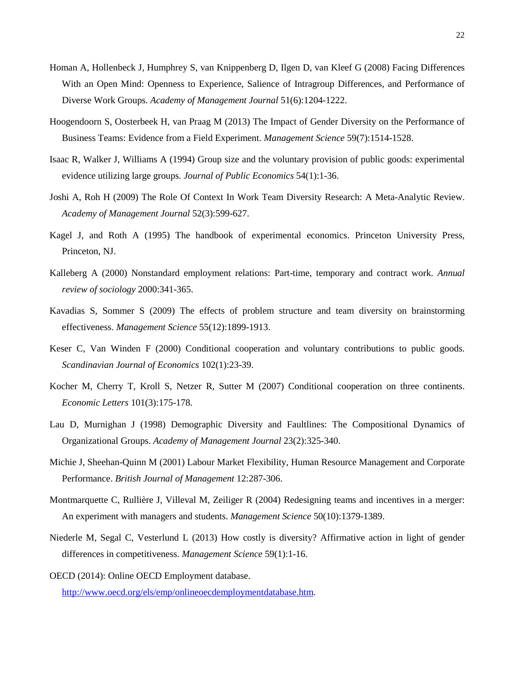- Homan A, Hollenbeck J, Humphrey S, van Knippenberg D, Ilgen D, van Kleef G (2008) Facing Differences With an Open Mind: Openness to Experience, Salience of Intragroup Differences, and Performance of Diverse Work Groups. *Academy of Management Journal* 51(6):1204-1222.
- Hoogendoorn S, Oosterbeek H, van Praag M (2013) The Impact of Gender Diversity on the Performance of Business Teams: Evidence from a Field Experiment. *Management Science* 59(7):1514-1528.
- Isaac R, Walker J, Williams A (1994) Group size and the voluntary provision of public goods: experimental evidence utilizing large groups. *Journal of Public Economics* 54(1):1-36.
- Joshi A, Roh H (2009) The Role Of Context In Work Team Diversity Research: A Meta-Analytic Review. *Academy of Management Journal* 52(3):599-627.
- Kagel J, and Roth A (1995) The handbook of experimental economics. Princeton University Press, Princeton, NJ.
- Kalleberg A (2000) Nonstandard employment relations: Part-time, temporary and contract work. *Annual review of sociology* 2000:341-365.
- Kavadias S, Sommer S (2009) The effects of problem structure and team diversity on brainstorming effectiveness. *Management Science* 55(12):1899-1913.
- Keser C, Van Winden F (2000) Conditional cooperation and voluntary contributions to public goods. *Scandinavian Journal of Economics* 102(1):23-39.
- Kocher M, Cherry T, Kroll S, Netzer R, Sutter M (2007) Conditional cooperation on three continents. *Economic Letters* 101(3):175-178.
- Lau D, Murnighan J (1998) Demographic Diversity and Faultlines: The Compositional Dynamics of Organizational Groups. *Academy of Management Journal* 23(2):325-340.
- Michie J, Sheehan-Quinn M (2001) Labour Market Flexibility, Human Resource Management and Corporate Performance. *British Journal of Management* 12:287-306.
- Montmarquette C, Rullière J, Villeval M, Zeiliger R (2004) Redesigning teams and incentives in a merger: An experiment with managers and students. *Management Science* 50(10):1379-1389.
- Niederle M, Segal C, Vesterlund L (2013) How costly is diversity? Affirmative action in light of gender differences in competitiveness. *Management Science* 59(1):1-16.

OECD (2014): Online OECD Employment database.

[http://www.oecd.org/els/emp/onlineoecdemploymentdatabase.htm.](http://www.oecd.org/els/emp/onlineoecdemploymentdatabase.htm)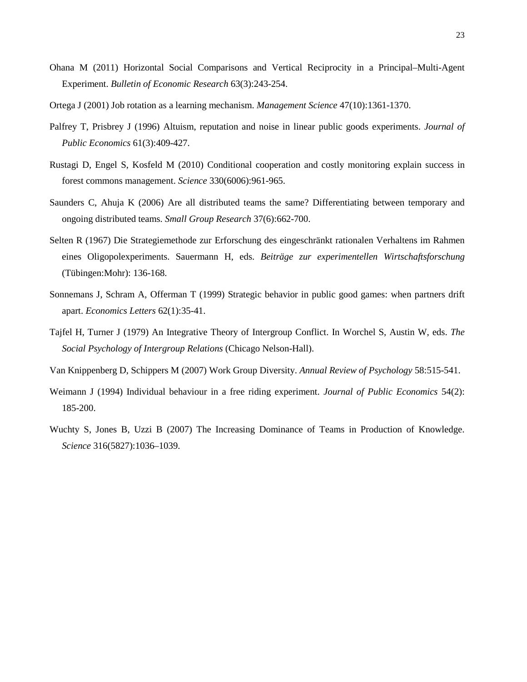- Ohana M (2011) Horizontal Social Comparisons and Vertical Reciprocity in a Principal–Multi-Agent Experiment. *Bulletin of Economic Research* 63(3):243-254.
- Ortega J (2001) Job rotation as a learning mechanism. *Management Science* 47(10):1361-1370.
- Palfrey T, Prisbrey J (1996) Altuism, reputation and noise in linear public goods experiments. *Journal of Public Economics* 61(3):409-427.
- Rustagi D, Engel S, Kosfeld M (2010) Conditional cooperation and costly monitoring explain success in forest commons management. *Science* 330(6006):961-965.
- Saunders C, Ahuja K (2006) Are all distributed teams the same? Differentiating between temporary and ongoing distributed teams. *Small Group Research* 37(6):662-700.
- Selten R (1967) Die Strategiemethode zur Erforschung des eingeschränkt rationalen Verhaltens im Rahmen eines Oligopolexperiments. Sauermann H, eds. *Beiträge zur experimentellen Wirtschaftsforschung* (Tübingen:Mohr): 136-168.
- Sonnemans J, Schram A, Offerman T (1999) Strategic behavior in public good games: when partners drift apart. *Economics Letters* 62(1):35-41.
- Tajfel H, Turner J (1979) An Integrative Theory of Intergroup Conflict. In Worchel S, Austin W, eds. *The Social Psychology of Intergroup Relations* (Chicago Nelson-Hall).
- Van Knippenberg D, Schippers M (2007) Work Group Diversity. *Annual Review of Psychology* 58:515-541.
- Weimann J (1994) Individual behaviour in a free riding experiment. *Journal of Public Economics* 54(2): 185-200.
- Wuchty S, Jones B, Uzzi B (2007) The Increasing Dominance of Teams in Production of Knowledge. *Science* 316(5827):1036–1039.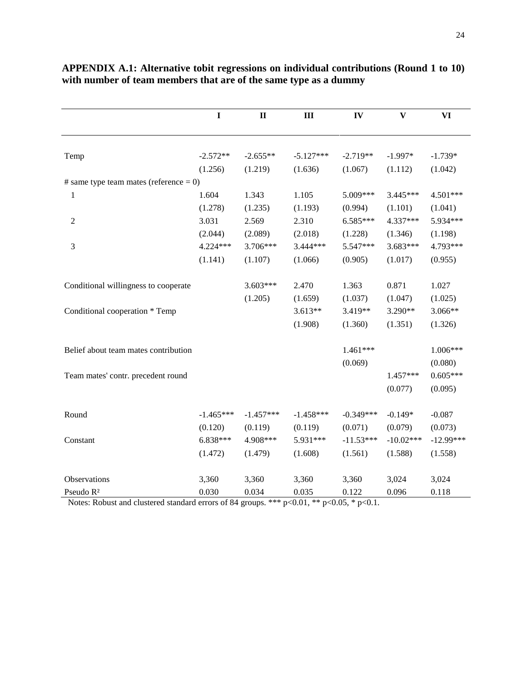|                                           | $\mathbf I$ | $\mathbf{I}$ | III         | IV          | $\mathbf{V}$ | <b>VI</b>   |
|-------------------------------------------|-------------|--------------|-------------|-------------|--------------|-------------|
|                                           |             |              |             |             |              |             |
| Temp                                      | $-2.572**$  | $-2.655**$   | $-5.127***$ | $-2.719**$  | $-1.997*$    | $-1.739*$   |
|                                           | (1.256)     | (1.219)      | (1.636)     | (1.067)     | (1.112)      | (1.042)     |
| # same type team mates (reference $= 0$ ) |             |              |             |             |              |             |
| 1                                         | 1.604       | 1.343        | 1.105       | 5.009***    | 3.445***     | 4.501***    |
|                                           | (1.278)     | (1.235)      | (1.193)     | (0.994)     | (1.101)      | (1.041)     |
| $\overline{2}$                            | 3.031       | 2.569        | 2.310       | 6.585***    | 4.337***     | 5.934***    |
|                                           | (2.044)     | (2.089)      | (2.018)     | (1.228)     | (1.346)      | (1.198)     |
| 3                                         | 4.224***    | 3.706***     | 3.444***    | 5.547***    | 3.683***     | 4.793***    |
|                                           | (1.141)     | (1.107)      | (1.066)     | (0.905)     | (1.017)      | (0.955)     |
| Conditional willingness to cooperate      |             | $3.603***$   | 2.470       | 1.363       | 0.871        | 1.027       |
|                                           |             | (1.205)      | (1.659)     | (1.037)     | (1.047)      | (1.025)     |
| Conditional cooperation * Temp            |             |              | $3.613**$   | 3.419**     | 3.290**      | 3.066**     |
|                                           |             |              | (1.908)     | (1.360)     | (1.351)      | (1.326)     |
| Belief about team mates contribution      |             |              |             | 1.461***    |              | 1.006***    |
|                                           |             |              |             | (0.069)     |              | (0.080)     |
| Team mates' contr. precedent round        |             |              |             |             | 1.457***     | $0.605***$  |
|                                           |             |              |             |             | (0.077)      | (0.095)     |
| Round                                     | $-1.465***$ | $-1.457***$  | $-1.458***$ | $-0.349***$ | $-0.149*$    | $-0.087$    |
|                                           | (0.120)     | (0.119)      | (0.119)     | (0.071)     | (0.079)      | (0.073)     |
| Constant                                  | $6.838***$  | 4.908***     | 5.931***    | $-11.53***$ | $-10.02***$  | $-12.99***$ |
|                                           | (1.472)     | (1.479)      | (1.608)     | (1.561)     | (1.588)      | (1.558)     |
| Observations                              | 3,360       | 3,360        | 3,360       | 3,360       | 3,024        | 3,024       |
| Pseudo R <sup>2</sup>                     | 0.030       | 0.034        | 0.035       | 0.122       | 0.096        | 0.118       |

# **APPENDIX A.1: Alternative tobit regressions on individual contributions (Round 1 to 10) with number of team members that are of the same type as a dummy**

Notes: Robust and clustered standard errors of 84 groups. \*\*\* p<0.01, \*\* p<0.05, \* p<0.1.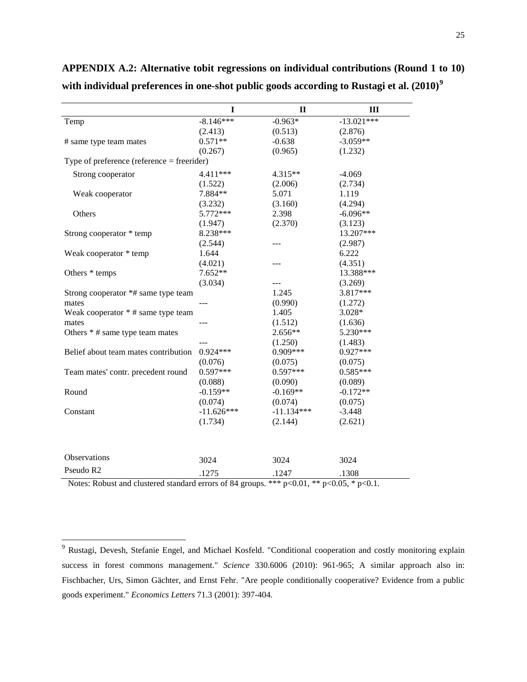|                                            | I             | $\mathbf{I}$         | III           |
|--------------------------------------------|---------------|----------------------|---------------|
| Temp                                       | $-8.146***$   | $-0.963*$            | $-13.021***$  |
|                                            | (2.413)       | (0.513)              | (2.876)       |
| # same type team mates                     | $0.571**$     | $-0.638$             | $-3.059**$    |
|                                            | (0.267)       | (0.965)              | (1.232)       |
| Type of preference (reference = freerider) |               |                      |               |
| Strong cooperator                          | 4.411 ***     | 4.315**              | $-4.069$      |
|                                            | (1.522)       | (2.006)              | (2.734)       |
| Weak cooperator                            | 7.884**       | 5.071                | 1.119         |
|                                            | (3.232)       | (3.160)              | (4.294)       |
| Others                                     | 5.772***      | 2.398                | $-6.096**$    |
|                                            | (1.947)       | (2.370)              | (3.123)       |
| Strong cooperator * temp                   | 8.238***      |                      | 13.207***     |
|                                            | (2.544)       |                      | (2.987)       |
| Weak cooperator * temp                     | 1.644         |                      | 6.222         |
|                                            | (4.021)       |                      | (4.351)       |
| Others * temps                             | $7.652**$     |                      | 13.388***     |
|                                            | (3.034)       | ---                  | (3.269)       |
| Strong cooperator *# same type team        |               | 1.245                | 3.817***      |
| mates                                      | ---           | (0.990)              | (1.272)       |
| Weak cooperator * # same type team         |               | 1.405                | 3.028*        |
| mates                                      | ---           | (1.512)              | (1.636)       |
| Others * # same type team mates            |               | 2.656**              | 5.230***      |
|                                            |               | (1.250)              | (1.483)       |
| Belief about team mates contribution       | $0.924***$    | $0.909***$           | $0.927***$    |
|                                            | (0.076)       | (0.075)              | (0.075)       |
| Team mates' contr. precedent round         | $0.597***$    | $0.597***$           | $0.585***$    |
|                                            | (0.088)       | (0.090)              | (0.089)       |
| Round                                      | $-0.159**$    | $-0.169**$           | $-0.172**$    |
|                                            | (0.074)       | (0.074)              | (0.075)       |
| Constant                                   | $-11.626***$  | $-11.134***$         | $-3.448$      |
|                                            | (1.734)       | (2.144)              | (2.621)       |
|                                            |               |                      |               |
| Observations                               | 3024          | 3024                 | 3024          |
| Pseudo R2                                  | .1275<br>0.01 | .1247<br>مله مله مله | .1308<br>0.07 |

**APPENDIX A.2: Alternative tobit regressions on individual contributions (Round 1 to 10) with individual preferences in one-shot public goods according to Rustagi et al. (2010)[9](#page-18-0)**

Notes: Robust and clustered standard errors of 84 groups. \*\*\*  $p<0.01$ , \*\*  $p<0.05$ , \*  $p<0.1$ .

 <sup>9</sup> Rustagi, Devesh, Stefanie Engel, and Michael Kosfeld. "Conditional cooperation and costly monitoring explain success in forest commons management." *Science* 330.6006 (2010): 961-965; A similar approach also in: Fischbacher, Urs, Simon Gächter, and Ernst Fehr. "Are people conditionally cooperative? Evidence from a public goods experiment." *Economics Letters* 71.3 (2001): 397-404.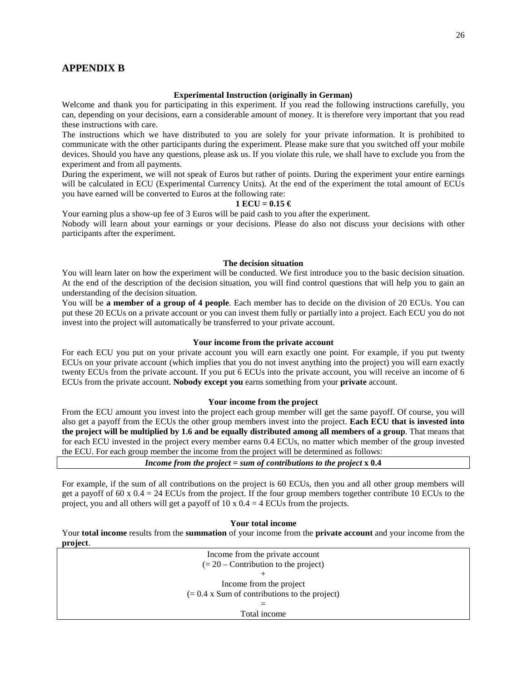### **APPENDIX B**

#### **Experimental Instruction (originally in German)**

Welcome and thank you for participating in this experiment. If you read the following instructions carefully, you can, depending on your decisions, earn a considerable amount of money. It is therefore very important that you read these instructions with care.

The instructions which we have distributed to you are solely for your private information. It is prohibited to communicate with the other participants during the experiment. Please make sure that you switched off your mobile devices. Should you have any questions, please ask us. If you violate this rule, we shall have to exclude you from the experiment and from all payments.

During the experiment, we will not speak of Euros but rather of points. During the experiment your entire earnings will be calculated in ECU (Experimental Currency Units). At the end of the experiment the total amount of ECUs you have earned will be converted to Euros at the following rate:

#### **1 ECU = 0.15 €**

Your earning plus a show-up fee of 3 Euros will be paid cash to you after the experiment.

Nobody will learn about your earnings or your decisions. Please do also not discuss your decisions with other participants after the experiment.

#### **The decision situation**

You will learn later on how the experiment will be conducted. We first introduce you to the basic decision situation. At the end of the description of the decision situation, you will find control questions that will help you to gain an understanding of the decision situation.

You will be **a member of a group of 4 people**. Each member has to decide on the division of 20 ECUs. You can put these 20 ECUs on a private account or you can invest them fully or partially into a project. Each ECU you do not invest into the project will automatically be transferred to your private account.

#### **Your income from the private account**

For each ECU you put on your private account you will earn exactly one point. For example, if you put twenty ECUs on your private account (which implies that you do not invest anything into the project) you will earn exactly twenty ECUs from the private account. If you put 6 ECUs into the private account, you will receive an income of 6 ECUs from the private account. **Nobody except you** earns something from your **private** account.

#### **Your income from the project**

From the ECU amount you invest into the project each group member will get the same payoff. Of course, you will also get a payoff from the ECUs the other group members invest into the project. **Each ECU that is invested into the project will be multiplied by 1.6 and be equally distributed among all members of a group**. That means that for each ECU invested in the project every member earns 0.4 ECUs, no matter which member of the group invested the ECU. For each group member the income from the project will be determined as follows:

#### *Income from the project* **=** *sum of contributions to the project* **x 0.4**

For example, if the sum of all contributions on the project is 60 ECUs, then you and all other group members will get a payoff of 60 x  $0.4 = 24$  ECUs from the project. If the four group members together contribute 10 ECUs to the project, you and all others will get a payoff of  $10 \times 0.4 = 4$  ECUs from the projects.

**Your total income** 

Your **total income** results from the **summation** of your income from the **private account** and your income from the **project**.

| Income from the private account                 |  |
|-------------------------------------------------|--|
| $(= 20 -$ Contribution to the project)          |  |
|                                                 |  |
| Income from the project                         |  |
| $(= 0.4$ x Sum of contributions to the project) |  |
|                                                 |  |
| Total income                                    |  |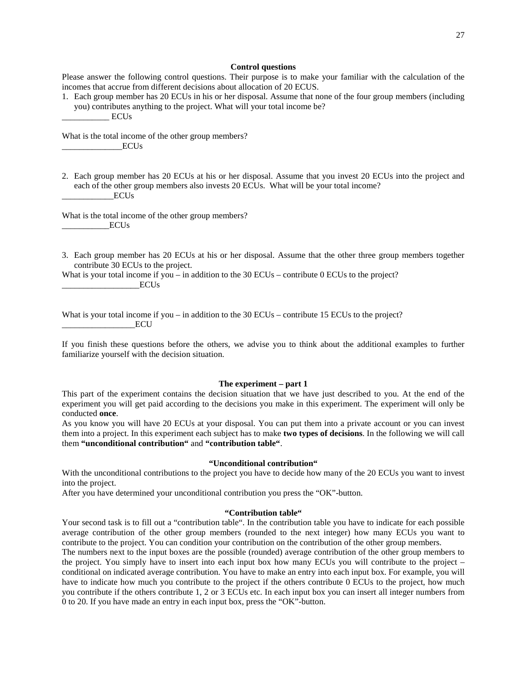#### **Control questions**

Please answer the following control questions. Their purpose is to make your familiar with the calculation of the incomes that accrue from different decisions about allocation of 20 ECUS.

1. Each group member has 20 ECUs in his or her disposal. Assume that none of the four group members (including you) contributes anything to the project. What will your total income be?  $ECUs$ 

What is the total income of the other group members?  $ECUs$ 

2. Each group member has 20 ECUs at his or her disposal. Assume that you invest 20 ECUs into the project and each of the other group members also invests 20 ECUs. What will be your total income? ECU<sub>s</sub>

What is the total income of the other group members?  $_{\rm ECLUs}$ 

3. Each group member has 20 ECUs at his or her disposal. Assume that the other three group members together contribute 30 ECUs to the project.

What is your total income if you – in addition to the 30 ECUs – contribute 0 ECUs to the project? ECU<sub>s</sub>

What is your total income if you – in addition to the  $30$  ECUs – contribute 15 ECUs to the project?  $_{\rm ECU}$ 

If you finish these questions before the others, we advise you to think about the additional examples to further familiarize yourself with the decision situation.

#### **The experiment – part 1**

This part of the experiment contains the decision situation that we have just described to you. At the end of the experiment you will get paid according to the decisions you make in this experiment. The experiment will only be conducted **once**.

As you know you will have 20 ECUs at your disposal. You can put them into a private account or you can invest them into a project. In this experiment each subject has to make **two types of decisions**. In the following we will call them **"unconditional contribution"** and **"contribution table"**.

#### **"Unconditional contribution"**

With the unconditional contributions to the project you have to decide how many of the 20 ECUs you want to invest into the project.

After you have determined your unconditional contribution you press the "OK"-button.

#### **"Contribution table"**

Your second task is to fill out a "contribution table". In the contribution table you have to indicate for each possible average contribution of the other group members (rounded to the next integer) how many ECUs you want to contribute to the project. You can condition your contribution on the contribution of the other group members.

The numbers next to the input boxes are the possible (rounded) average contribution of the other group members to the project. You simply have to insert into each input box how many ECUs you will contribute to the project – conditional on indicated average contribution. You have to make an entry into each input box. For example, you will have to indicate how much you contribute to the project if the others contribute 0 ECUs to the project, how much you contribute if the others contribute 1, 2 or 3 ECUs etc. In each input box you can insert all integer numbers from 0 to 20. If you have made an entry in each input box, press the "OK"-button.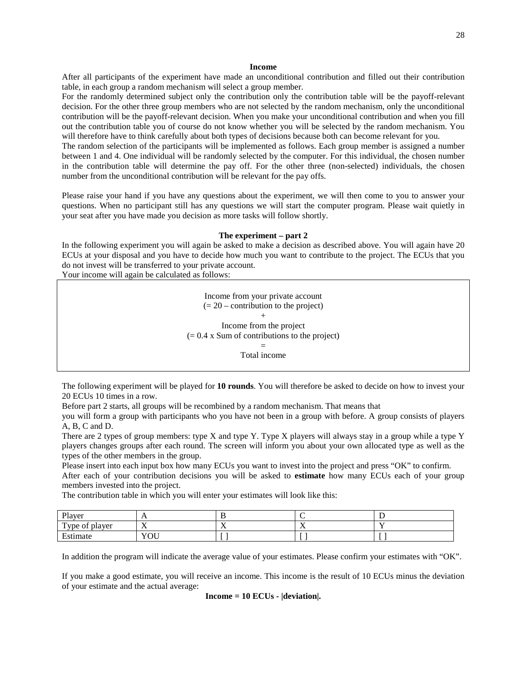#### **Income**

After all participants of the experiment have made an unconditional contribution and filled out their contribution table, in each group a random mechanism will select a group member.

For the randomly determined subject only the contribution only the contribution table will be the payoff-relevant decision. For the other three group members who are not selected by the random mechanism, only the unconditional contribution will be the payoff-relevant decision. When you make your unconditional contribution and when you fill out the contribution table you of course do not know whether you will be selected by the random mechanism. You will therefore have to think carefully about both types of decisions because both can become relevant for you.

The random selection of the participants will be implemented as follows. Each group member is assigned a number between 1 and 4. One individual will be randomly selected by the computer. For this individual, the chosen number in the contribution table will determine the pay off. For the other three (non-selected) individuals, the chosen number from the unconditional contribution will be relevant for the pay offs.

Please raise your hand if you have any questions about the experiment, we will then come to you to answer your questions. When no participant still has any questions we will start the computer program. Please wait quietly in your seat after you have made you decision as more tasks will follow shortly.

#### **The experiment – part 2**

In the following experiment you will again be asked to make a decision as described above. You will again have 20 ECUs at your disposal and you have to decide how much you want to contribute to the project. The ECUs that you do not invest will be transferred to your private account.

Your income will again be calculated as follows:

Income from your private account  $(= 20 -$  contribution to the project) + Income from the project  $(= 0.4 \times$  Sum of contributions to the project) =

Total income

The following experiment will be played for **10 rounds**. You will therefore be asked to decide on how to invest your 20 ECUs 10 times in a row.

Before part 2 starts, all groups will be recombined by a random mechanism. That means that

you will form a group with participants who you have not been in a group with before. A group consists of players A, B, C and D.

There are 2 types of group members: type X and type Y. Type X players will always stay in a group while a type Y players changes groups after each round. The screen will inform you about your own allocated type as well as the types of the other members in the group.

Please insert into each input box how many ECUs you want to invest into the project and press "OK" to confirm.

After each of your contribution decisions you will be asked to **estimate** how many ECUs each of your group members invested into the project.

The contribution table in which you will enter your estimates will look like this:

| Player                     | . .                                  |           |                                 |  |
|----------------------------|--------------------------------------|-----------|---------------------------------|--|
| Type of $\mu$<br>: plaver  | <b>x</b><br>$\overline{\phantom{a}}$ | --<br>. . | - -<br>$\overline{\phantom{a}}$ |  |
| $\blacksquare$<br>Estimate | $V\cap H$<br>$\sigma$                |           |                                 |  |

In addition the program will indicate the average value of your estimates. Please confirm your estimates with "OK".

If you make a good estimate, you will receive an income. This income is the result of 10 ECUs minus the deviation of your estimate and the actual average:

**Income = 10 ECUs - |deviation|.**